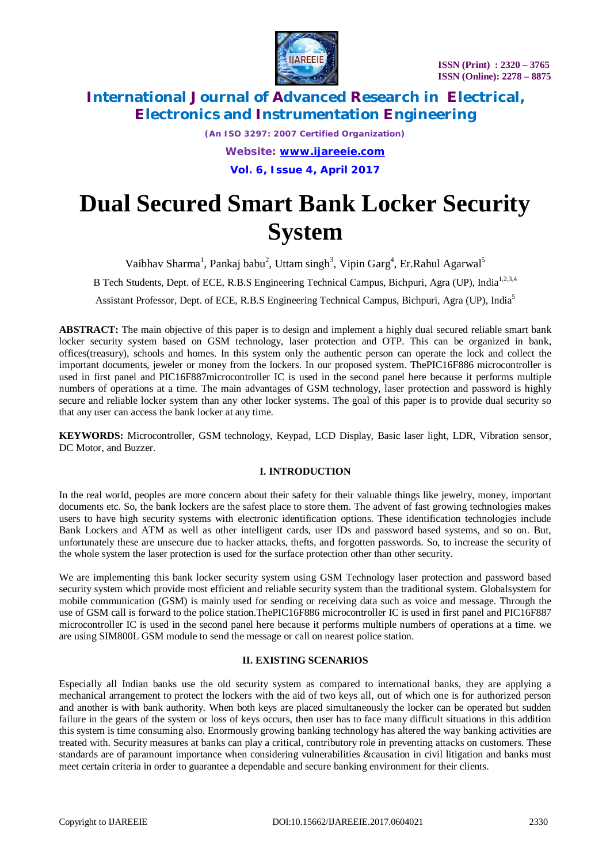

*(An ISO 3297: 2007 Certified Organization) Website: [www.ijareeie.com](http://www.ijareeie.com)* **Vol. 6, Issue 4, April 2017**

# **Dual Secured Smart Bank Locker Security System**

Vaibhav Sharma<sup>1</sup>, Pankaj babu<sup>2</sup>, Uttam singh<sup>3</sup>, Vipin Garg<sup>4</sup>, Er.Rahul Agarwal<sup>5</sup>

B Tech Students, Dept. of ECE, R.B.S Engineering Technical Campus, Bichpuri, Agra (UP), India<sup>1,2,3,4</sup>

Assistant Professor, Dept. of ECE, R.B.S Engineering Technical Campus, Bichpuri, Agra (UP), India<sup>5</sup>

**ABSTRACT:** The main objective of this paper is to design and implement a highly dual secured reliable smart bank locker security system based on GSM technology, laser protection and OTP. This can be organized in bank, offices(treasury), schools and homes. In this system only the authentic person can operate the lock and collect the important documents, jeweler or money from the lockers. In our proposed system. ThePIC16F886 microcontroller is used in first panel and PIC16F887microcontroller IC is used in the second panel here because it performs multiple numbers of operations at a time. The main advantages of GSM technology, laser protection and password is highly secure and reliable locker system than any other locker systems. The goal of this paper is to provide dual security so that any user can access the bank locker at any time.

**KEYWORDS:** Microcontroller, GSM technology, Keypad, LCD Display, Basic laser light, LDR, Vibration sensor, DC Motor, and Buzzer.

# **I. INTRODUCTION**

In the real world, peoples are more concern about their safety for their valuable things like jewelry, money, important documents etc. So, the bank lockers are the safest place to store them. The advent of fast growing technologies makes users to have high security systems with electronic identification options. These identification technologies include Bank Lockers and ATM as well as other intelligent cards, user IDs and password based systems, and so on. But, unfortunately these are unsecure due to hacker attacks, thefts, and forgotten passwords. So, to increase the security of the whole system the laser protection is used for the surface protection other than other security.

We are implementing this bank locker security system using GSM Technology laser protection and password based security system which provide most efficient and reliable security system than the traditional system. Globalsystem for mobile communication (GSM) is mainly used for sending or receiving data such as voice and message. Through the use of GSM call is forward to the police station.ThePIC16F886 microcontroller IC is used in first panel and PIC16F887 microcontroller IC is used in the second panel here because it performs multiple numbers of operations at a time. we are using SIM800L GSM module to send the message or call on nearest police station.

## **II. EXISTING SCENARIOS**

Especially all Indian banks use the old security system as compared to international banks, they are applying a mechanical arrangement to protect the lockers with the aid of two keys all, out of which one is for authorized person and another is with bank authority. When both keys are placed simultaneously the locker can be operated but sudden failure in the gears of the system or loss of keys occurs, then user has to face many difficult situations in this addition this system is time consuming also. Enormously growing banking technology has altered the way banking activities are treated with. Security measures at banks can play a critical, contributory role in preventing attacks on customers. These standards are of paramount importance when considering vulnerabilities &causation in civil litigation and banks must meet certain criteria in order to guarantee a dependable and secure banking environment for their clients.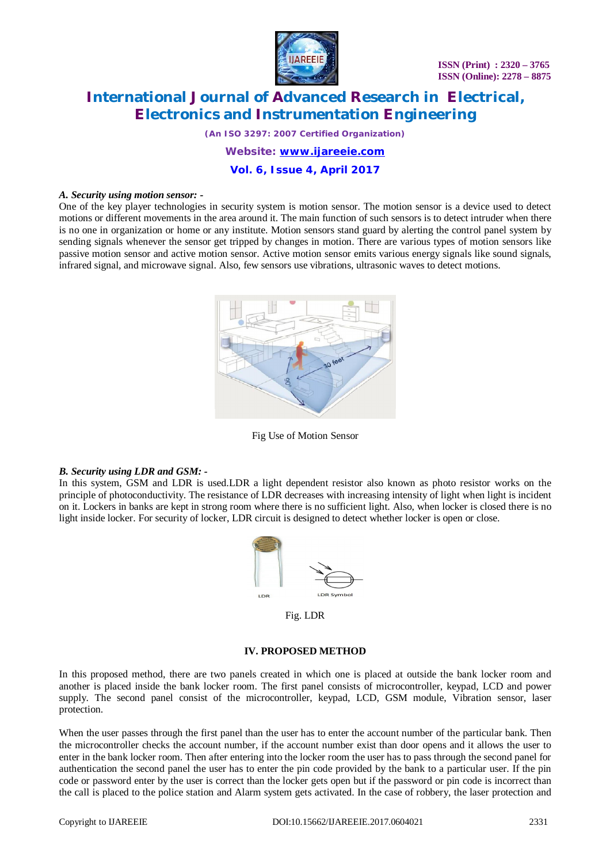

*(An ISO 3297: 2007 Certified Organization)*

*Website: [www.ijareeie.com](http://www.ijareeie.com)*

**Vol. 6, Issue 4, April 2017**

#### *A. Security using motion sensor: -*

One of the key player technologies in security system is motion sensor. The motion sensor is a device used to detect motions or different movements in the area around it. The main function of such sensors is to detect intruder when there is no one in organization or home or any institute. Motion sensors stand guard by alerting the control panel system by sending signals whenever the sensor get tripped by changes in motion. There are various types of motion sensors like passive motion sensor and active motion sensor. Active motion sensor emits various energy signals like sound signals, infrared signal, and microwave signal. Also, few sensors use vibrations, ultrasonic waves to detect motions.



Fig Use of Motion Sensor

## *B. Security using LDR and GSM: -*

In this system, GSM and LDR is used.LDR a light dependent resistor also known as photo resistor works on the principle of photoconductivity. The resistance of LDR decreases with increasing intensity of light when light is incident on it. Lockers in banks are kept in strong room where there is no sufficient light. Also, when locker is closed there is no light inside locker. For security of locker, LDR circuit is designed to detect whether locker is open or close.



Fig. LDR

## **IV. PROPOSED METHOD**

In this proposed method, there are two panels created in which one is placed at outside the bank locker room and another is placed inside the bank locker room. The first panel consists of microcontroller, keypad, LCD and power supply. The second panel consist of the microcontroller, keypad, LCD, GSM module, Vibration sensor, laser protection.

When the user passes through the first panel than the user has to enter the account number of the particular bank. Then the microcontroller checks the account number, if the account number exist than door opens and it allows the user to enter in the bank locker room. Then after entering into the locker room the user has to pass through the second panel for authentication the second panel the user has to enter the pin code provided by the bank to a particular user. If the pin code or password enter by the user is correct than the locker gets open but if the password or pin code is incorrect than the call is placed to the police station and Alarm system gets activated. In the case of robbery, the laser protection and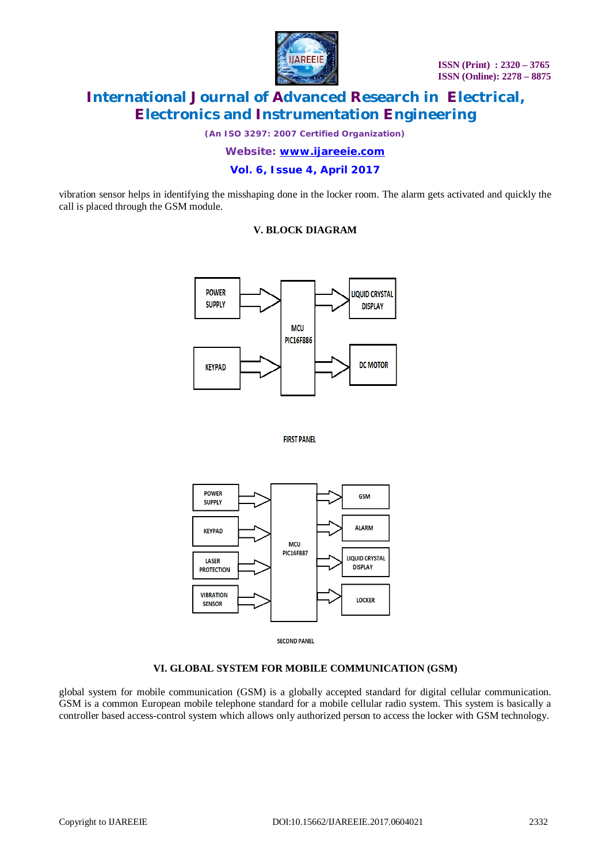

*(An ISO 3297: 2007 Certified Organization)*

*Website: [www.ijareeie.com](http://www.ijareeie.com)*

**Vol. 6, Issue 4, April 2017**

vibration sensor helps in identifying the misshaping done in the locker room. The alarm gets activated and quickly the call is placed through the GSM module.

# **V. BLOCK DIAGRAM**







**SECOND PANEL** 

# **VI. GLOBAL SYSTEM FOR MOBILE COMMUNICATION (GSM)**

global system for mobile communication (GSM) is a globally accepted standard for digital cellular communication. GSM is a common European mobile telephone standard for a mobile cellular radio system. This system is basically a controller based access-control system which allows only authorized person to access the locker with GSM technology.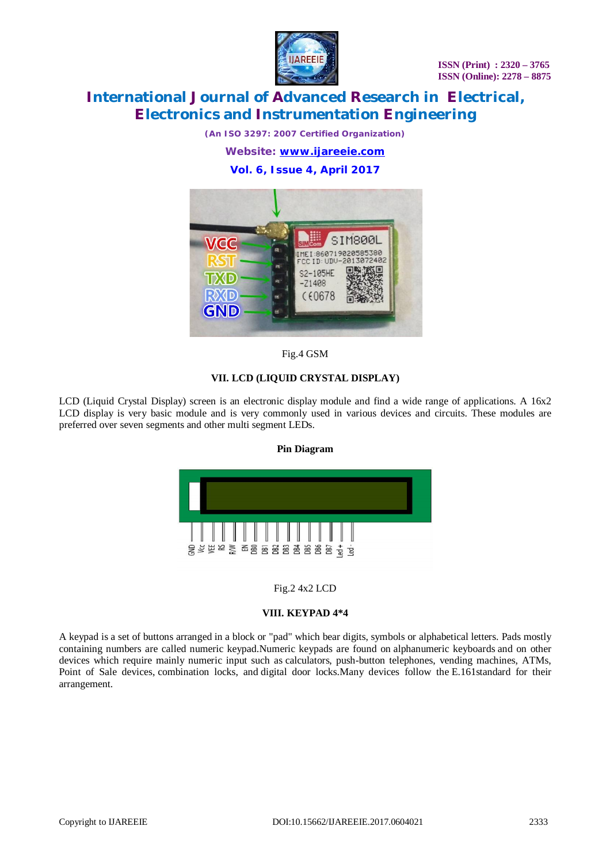

*(An ISO 3297: 2007 Certified Organization)*

*Website: [www.ijareeie.com](http://www.ijareeie.com)*

**Vol. 6, Issue 4, April 2017**



## Fig.4 GSM

## **VII. LCD (LIQUID CRYSTAL DISPLAY)**

LCD (Liquid Crystal Display) screen is an electronic display module and find a wide range of applications. A 16x2 LCD display is very basic module and is very commonly used in various devices and circuits. These modules are preferred over seven segments and other multi segment LEDs.

## **Pin Diagram**



## Fig.2 4x2 LCD

## **VIII. KEYPAD 4\*4**

A keypad is a set of buttons arranged in a block or "pad" which bear digits, symbols or alphabetical letters. Pads mostly containing numbers are called numeric keypad.Numeric keypads are found on alphanumeric keyboards and on other devices which require mainly numeric input such as calculators, push-button telephones, vending machines, ATMs, Point of Sale devices, combination locks, and digital door locks.Many devices follow the E.161standard for their arrangement.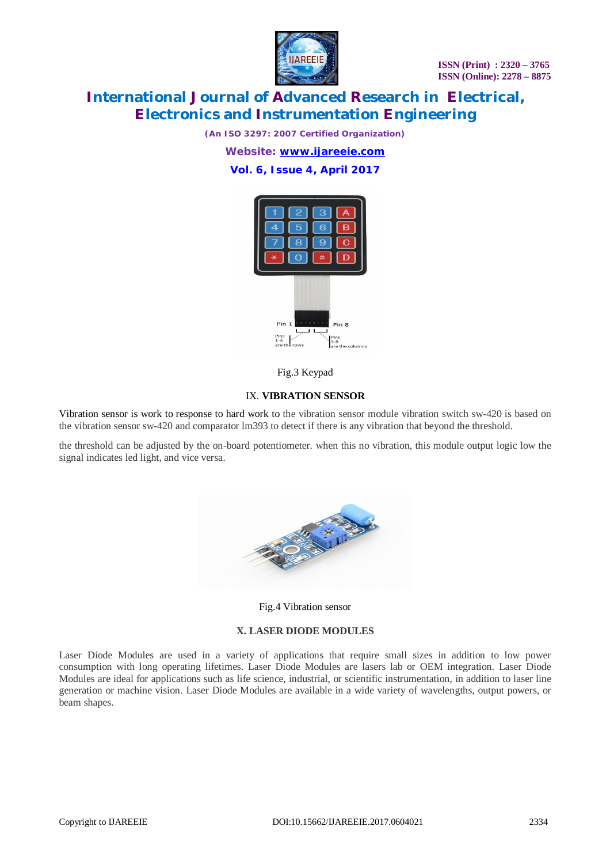

*(An ISO 3297: 2007 Certified Organization)*

*Website: [www.ijareeie.com](http://www.ijareeie.com)*

# **Vol. 6, Issue 4, April 2017**



Fig.3 Keypad

## IX. **VIBRATION SENSOR**

Vibration sensor is work to response to hard work to the vibration sensor module vibration switch sw-420 is based on the vibration sensor sw-420 and comparator lm393 to detect if there is any vibration that beyond the threshold.

the threshold can be adjusted by the on-board potentiometer. when this no vibration, this module output logic low the signal indicates led light, and vice versa.



#### Fig.4 Vibration sensor

#### **X. LASER DIODE MODULES**

Laser Diode Modules are used in a variety of applications that require small sizes in addition to low power consumption with long operating lifetimes. Laser Diode Modules are lasers lab or OEM integration. Laser Diode Modules are ideal for applications such as life science, industrial, or scientific instrumentation, in addition to laser line generation or machine vision. Laser Diode Modules are available in a wide variety of wavelengths, output powers, or beam shapes.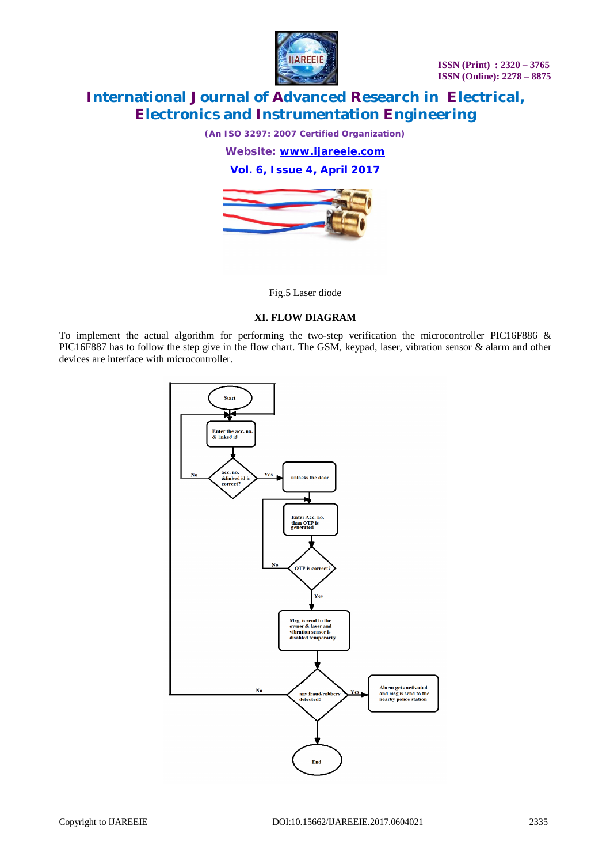

*(An ISO 3297: 2007 Certified Organization)*

*Website: [www.ijareeie.com](http://www.ijareeie.com)*

**Vol. 6, Issue 4, April 2017**



Fig.5 Laser diode

#### **XI. FLOW DIAGRAM**

To implement the actual algorithm for performing the two-step verification the microcontroller PIC16F886 & PIC16F887 has to follow the step give in the flow chart. The GSM, keypad, laser, vibration sensor & alarm and other devices are interface with microcontroller.

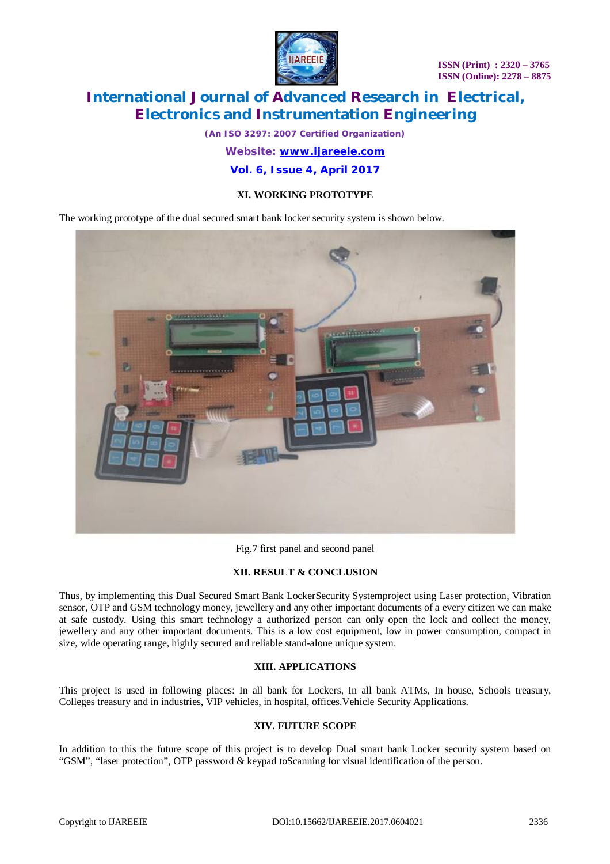

*(An ISO 3297: 2007 Certified Organization) Website: [www.ijareeie.com](http://www.ijareeie.com)*

# **Vol. 6, Issue 4, April 2017**

# **XI. WORKING PROTOTYPE**

The working prototype of the dual secured smart bank locker security system is shown below.



Fig.7 first panel and second panel

# **XII. RESULT & CONCLUSION**

Thus, by implementing this Dual Secured Smart Bank LockerSecurity Systemproject using Laser protection, Vibration sensor, OTP and GSM technology money, jewellery and any other important documents of a every citizen we can make at safe custody. Using this smart technology a authorized person can only open the lock and collect the money, jewellery and any other important documents. This is a low cost equipment, low in power consumption, compact in size, wide operating range, highly secured and reliable stand-alone unique system.

# **XIII. APPLICATIONS**

This project is used in following places: In all bank for Lockers, In all bank ATMs, In house, Schools treasury, Colleges treasury and in industries, VIP vehicles, in hospital, offices.Vehicle Security Applications.

# **XIV. FUTURE SCOPE**

In addition to this the future scope of this project is to develop Dual smart bank Locker security system based on "GSM", "laser protection", OTP password & keypad toScanning for visual identification of the person.